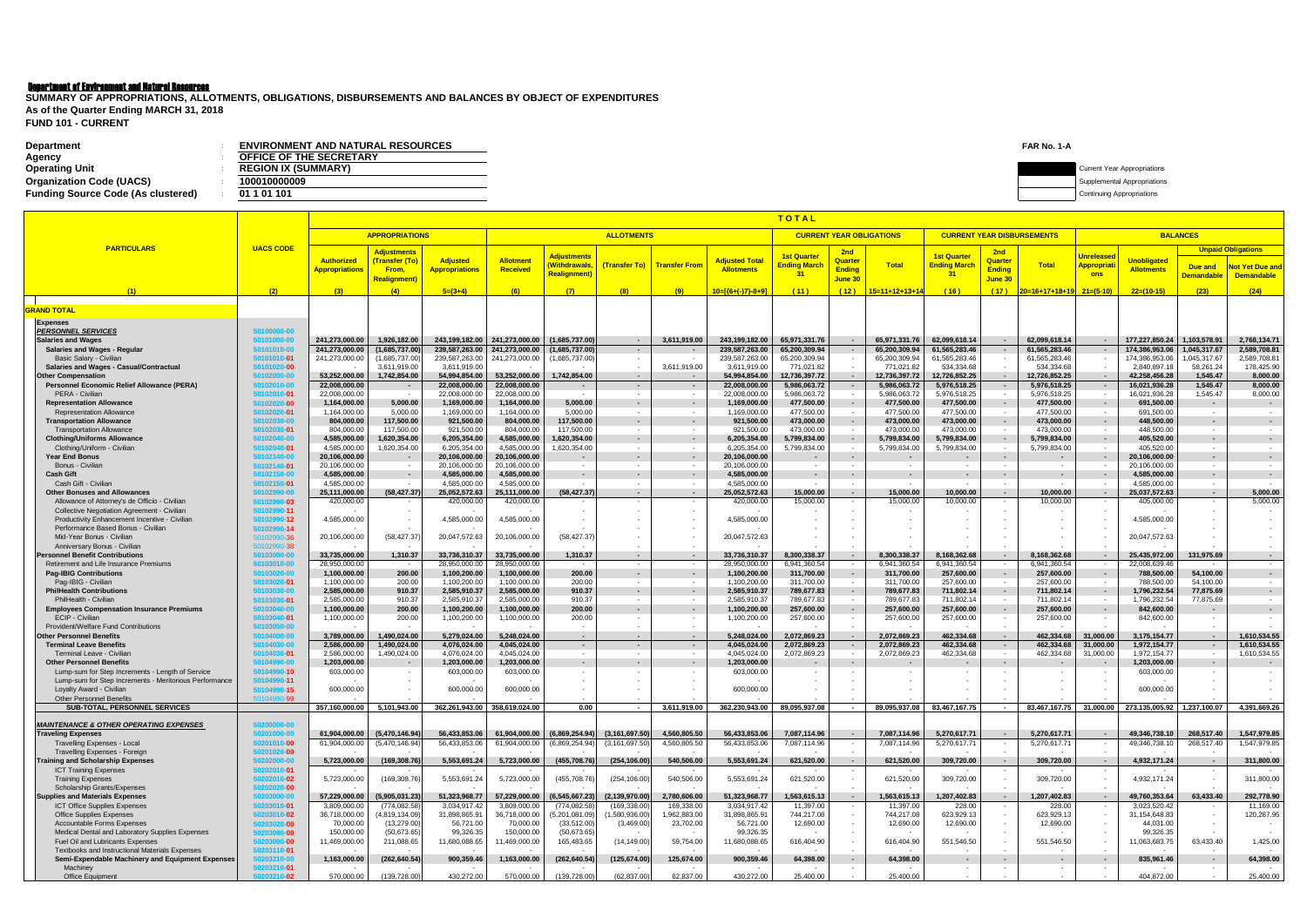# Department of Environment and Natural Resources

| <b>Department</b><br>Agency               | <b>ENVIRONMENT AND NATURAL RESOURCES</b><br><b>OFFICE OF THE SECRETARY</b> | FAR No. 1-A |                                    |
|-------------------------------------------|----------------------------------------------------------------------------|-------------|------------------------------------|
| <b>Operating Unit</b>                     | <b>REGION IX (SUMMARY)</b>                                                 |             | <b>Current Year Appropriations</b> |
| <b>Organization Code (UACS)</b>           | 00010000009                                                                |             | upplemental Appropriations         |
| <b>Funding Source Code (As clustered)</b> | 01 1 01 101                                                                |             | Continuing Appropriations          |

**FUND 101 - CURRENT SUMMARY OF APPROPRIATIONS, ALLOTMENTS, OBLIGATIONS, DISBURSEMENTS AND BALANCES BY OBJECT OF EXPENDITURES As of the Quarter Ending MARCH 31, 2018**

|                                                                                                     |                            |                                            | TOTAL                                |                                  |                                  |                                    |                                    |                                    |                                  |                                    |                                    |                                |                                   |                          |                                |                                         |                                                     |                              |                              |
|-----------------------------------------------------------------------------------------------------|----------------------------|--------------------------------------------|--------------------------------------|----------------------------------|----------------------------------|------------------------------------|------------------------------------|------------------------------------|----------------------------------|------------------------------------|------------------------------------|--------------------------------|-----------------------------------|--------------------------|--------------------------------|-----------------------------------------|-----------------------------------------------------|------------------------------|------------------------------|
|                                                                                                     |                            | <b>ALLOTMENTS</b><br><b>APPROPRIATIONS</b> |                                      |                                  |                                  |                                    |                                    |                                    |                                  | <b>CURRENT YEAR OBLIGATIONS</b>    |                                    |                                | <b>CURRENT YEAR DISBURSEMENTS</b> |                          | <b>BALANCES</b>                |                                         |                                                     |                              |                              |
| <b>PARTICULARS</b>                                                                                  | <b>UACS CODE</b>           |                                            |                                      |                                  |                                  |                                    |                                    |                                    |                                  |                                    |                                    |                                |                                   |                          |                                | <b>Unpaid Obligations</b>               |                                                     |                              |                              |
|                                                                                                     |                            | <b>Authorized</b>                          | <b>Adjustments</b><br>(Transfer (To) | <b>Adjusted</b>                  | <b>Allotmen</b>                  | <b>Adjustments</b>                 |                                    |                                    | <b>Adjusted Total</b>            | <b>1st Quarter</b>                 | 2nd<br>Quarter                     |                                | <b>1st Quarter</b>                | 2nd<br>Quarter           |                                | <b>Unreleased</b>                       | <b>Unobligated</b>                                  |                              |                              |
|                                                                                                     |                            | <mark>Appropriations</mark>                | From,                                | <b>Appropriations</b>            | <b>Received</b>                  | <b>Withdrawals,</b><br>Realignment | (Transfer To)                      | <b>Transfer From</b>               | <b>Allotments</b>                | <b>Ending Marcl</b><br>31          | <b>Ending</b>                      | <b>Total</b>                   | <b>Ending March</b><br>31         | <b>Endina</b>            | <b>Total</b>                   | <mark>Appropriat</mark> i<br><b>ons</b> | <b>Allotments</b>                                   | Due and                      | <b>Not Yet Due and</b>       |
|                                                                                                     |                            |                                            | <b>Realignment</b> )                 |                                  |                                  |                                    |                                    |                                    |                                  |                                    | June 30                            |                                |                                   | June 30                  |                                |                                         |                                                     | <b>Demandable</b>            | <b>Demandable</b>            |
| (1)                                                                                                 | (2)                        | (3)                                        | (4)                                  | $5=(3+4)$                        | (6)                              | (7)                                | (8)                                | (9)                                | $10=[(6+(-)7)-8+9]$              | (11)                               | (12)                               | 15=11+12+13+14                 | (16)                              | (17)                     |                                |                                         | $22=(10-15)$                                        | (23)                         | (24)                         |
| <b>GRAND TOTAL</b>                                                                                  |                            |                                            |                                      |                                  |                                  |                                    |                                    |                                    |                                  |                                    |                                    |                                |                                   |                          |                                |                                         |                                                     |                              |                              |
| <b>Expenses</b>                                                                                     |                            |                                            |                                      |                                  |                                  |                                    |                                    |                                    |                                  |                                    |                                    |                                |                                   |                          |                                |                                         |                                                     |                              |                              |
| <b>PERSONNEL SERVICES</b>                                                                           | 50100000-00                |                                            |                                      |                                  |                                  |                                    |                                    |                                    |                                  |                                    |                                    |                                |                                   |                          |                                |                                         |                                                     |                              |                              |
| <b>Salaries and Wages</b>                                                                           | 50101000-00                | 241.273.000.00                             | 1,926,182.00                         |                                  | 243.199.182.00 241.273.000.00    | (1,685,737.00)                     | $\sim$ $-$                         | 3,611,919.00                       | 243,199,182.00                   | 65,971,331.76                      | $\sim$ $-$                         | 65,971,331.76                  | 62.099.618.14                     | $\sim$                   | 62,099,618.14                  | $\sim$                                  | 177,227,850.24                                      | 1,103,578.91                 | 2,768,134.71                 |
| <b>Salaries and Wages - Regular</b><br><b>Basic Salary - Civilian</b>                               | 50101010-00<br>50101010-01 | 241,273,000.00<br>241,273,000.00           | (1,685,737.00)<br>(1,685,737.00)     | 239,587,263.00<br>239,587,263.00 | 241,273,000.00<br>241,273,000.00 | (1,685,737.00)<br>(1,685,737.00)   | $\sim$<br>$\sim$                   |                                    | 239,587,263.00<br>239,587,263.00 | 65,200,309.94<br>65,200,309.94     | $\sim$                             | 65,200,309.94<br>65,200,309.94 | 61,565,283.46<br>61,565,283.46    | $\sim$                   | 61,565,283.46<br>61,565,283.46 | $\sim$                                  | 174,386,953.06<br>174,386,953.06                    | 1,045,317.67<br>1,045,317.67 | 2,589,708.81<br>2,589,708.8  |
| Salaries and Wages - Casual/Contractual                                                             | 50101020-00                |                                            | 3,611,919.00                         | 3,611,919.00                     |                                  |                                    | $\sim$                             | 3,611,919.00                       | 3,611,919.00                     | 771,021.82                         |                                    | 771,021.82                     | 534,334.68                        |                          | 534,334.68                     |                                         | 2,840,897.18                                        | 58,261.24                    | 178,425.90                   |
| <b>Other Compensation</b>                                                                           | 50102000-00                | 53,252,000.00                              | 1,742,854.00                         | 54,994,854.00                    | 53.252.000.00                    | 1.742.854.00                       | $\sim$ $-$                         |                                    | 54,994,854.00                    | 12,736,397.72                      | $\sim$                             | 12,736,397.72                  | 12,726,852.25                     | $\sim$                   | 12,726,852.25                  | $\sim$ $-$                              | 42,258,456.28                                       | 1,545.47                     | 8,000.00                     |
| <b>Personnel Economic Relief Allowance (PERA)</b><br>PERA - Civilian                                | 50102010-00                | 22,008,000.00<br>22,008,000.00             | $\sim$                               | 22,008,000.00<br>22,008,000.00   | 22,008,000.00<br>22,008,000.00   | $\sim$<br>$\sim$                   | $\sim$<br>$\sim$                   | $\sim$                             | 22,008,000.00<br>22,008,000.00   | 5,986,063.72<br>5,986,063.72       | $\sim$                             | 5,986,063.72<br>5,986,063.72   | 5,976,518.25<br>5,976,518.25      | $\sim$                   | 5,976,518.25<br>5,976,518.25   | $\sim$<br>$\sim$                        | 16,021,936.28<br>16,021,936.28                      | 1,545.47<br>1,545.47         | 8,000.00<br>8,000.00         |
| <b>Representation Allowance</b>                                                                     | 50102010-01<br>50102020-00 | 1,164,000.00                               | 5,000.00                             | 1,169,000.00                     | 1,164,000.00                     | 5,000.00                           | $\sim$                             |                                    | 1,169,000.00                     | 477,500.00                         | $\sim$                             | 477,500.00                     | 477,500.00                        | $\sim$                   | 477,500.00                     | $\sim$                                  | 691,500.00                                          | $\overline{\phantom{a}}$     | $\sim$                       |
| <b>Representation Allowance</b>                                                                     | 50102020-01                | 1,164,000.00                               | 5,000.00                             | 1,169,000.00                     | 1,164,000.00                     | 5.000.00                           | $\overline{\phantom{a}}$           | $\sim$                             | 1,169,000.00                     | 477,500.00                         | $\sim$                             | 477,500.00                     | 477,500.00                        | $\sim$                   | 477,500.00                     | $\sim$                                  | 691,500.00                                          | $\sim$                       | $\sim$                       |
| <b>Transportation Allowance</b>                                                                     | 50102030-00                | 804,000.00                                 | 117,500.00                           | 921,500.00                       | 804,000.00                       | 117,500.00                         | $\sim$                             | $\sim$                             | 921,500.00                       | 473,000.00                         | $\sim$                             | 473,000.00                     | 473,000.00                        | $\sim$                   | 473,000.00                     | $\sim$                                  | 448,500.00                                          | $\sim$                       | $\sim$                       |
| <b>Transportation Allowance</b><br><b>Clothing/Uniforms Allowance</b>                               | 50102030-01<br>50102040-00 | 804,000.00<br>4,585,000.00                 | 117,500.00<br>1,620,354.00           | 921,500.00<br>6,205,354.00       | 804,000.00<br>4,585,000.00       | 117,500.00<br>1,620,354.00         | $\sim$<br>$\sim$                   | $\sim$                             | 921,500.00<br>6,205,354.00       | 473,000.00<br>5,799,834.00         | $\sim$<br>$\sim$                   | 473,000.00<br>5,799,834.00     | 473,000.00<br>5,799,834.00        | $\sim$<br>$\sim$         | 473,000.00<br>5,799,834.00     | $\sim$<br>$\sim$                        | 448,500.00<br>405,520.00                            | $\sim$                       |                              |
| Clothing/Uniform - Civilian                                                                         | 50102040-01                | 4,585,000.00                               | 1,620,354.00                         | 6,205,354.00                     | 4,585,000.00                     | 1,620,354.00                       | $\sim$                             | $\sim$                             | 6,205,354.00                     | 5,799,834.00                       | $\sim$                             | 5,799,834.00                   | 5,799,834.00                      | $\sim$                   | 5,799,834.00                   | $\sim$                                  | 405,520.00                                          | $\sim$                       | $\sim$                       |
| <b>Year End Bonus</b>                                                                               | 50102140-00                | 20,106,000.00                              |                                      | 20,106,000.00                    | 20,106,000.00                    | $\sim$                             | $\sim$                             |                                    | 20,106,000.00                    |                                    |                                    | $\sim$                         |                                   | $\sim$                   |                                | $\sim$                                  | 20,106,000.00                                       | $\sim$                       |                              |
| Bonus - Civilian<br><b>Cash Gift</b>                                                                | 50102140-01<br>50102150-00 | 20,106,000.00<br>4.585.000.00              | $\sim$                               | 20,106,000.00<br>4,585,000.00    | 20,106,000.00<br>4.585.000.00    | $\overline{\phantom{a}}$<br>$\sim$ | $\sim$<br>$\sim$                   | $\overline{\phantom{a}}$<br>$\sim$ | 20,106,000.00<br>4,585,000.00    | $\sim$<br>$\overline{\phantom{a}}$ | $\overline{\phantom{a}}$<br>$\sim$ | $\sim$                         | $\sim$                            | $\overline{a}$<br>$\sim$ | $\sim$                         | $\sim$                                  | 20,106,000.00<br>4,585,000.00                       | $\sim$<br>$\sim$             | $\sim$                       |
| Cash Gift - Civilian                                                                                | 50102150-01                | 4,585,000.00                               |                                      | 4,585,000.00                     | 4,585,000.00                     |                                    | $\sim$                             | $\sim$                             | 4,585,000.00                     |                                    | $\sim$                             |                                |                                   | $\sim$                   |                                | $\sim$                                  | 4,585,000.00                                        | $\sim$                       |                              |
| <b>Other Bonuses and Allowances</b>                                                                 | 50102990-00                | 25,111,000.00                              | (58,427.37                           | 25,052,572.63                    | 25,111,000.00                    | (58, 427.37)                       | $\sim$                             |                                    | 25,052,572.63                    | 15,000.00                          | $\sim$                             | 15.000.00                      | 10.000.00                         | $\sim$                   | 10.000.00                      | $\sim$                                  | 25,037,572.63                                       | $\sim$                       | 5,000.00                     |
| Allowance of Attorney's de Officio - Civilian<br><b>Collective Negotiation Agreement - Civilian</b> | 50102990-03<br>50102990-11 | 420,000.00                                 |                                      | 420,000.00                       | 420,000.00                       |                                    | $\sim$<br>$\sim$                   |                                    | 420,000.00                       | 15,000.00                          | $\sim$                             | 15,000.00                      | 10,000.00                         | $\overline{a}$           | 10,000.00                      | $\sim$<br>$\sim$                        | 405,000.00                                          |                              | 5,000.00                     |
| Productivity Enhancement Incentive - Civilian                                                       | 50102990-12                | 4,585,000.00                               |                                      | 4,585,000.00                     | 4,585,000.00                     |                                    |                                    |                                    | 4,585,000.00                     |                                    |                                    |                                |                                   |                          |                                |                                         | 4,585,000.00                                        |                              |                              |
| Performance Based Bonus - Civilian                                                                  | 50102990-14                |                                            |                                      |                                  |                                  |                                    |                                    |                                    |                                  |                                    |                                    |                                |                                   |                          |                                |                                         |                                                     |                              |                              |
| Mid-Year Bonus - Civilian<br>Anniversary Bonus - Civilian                                           | 50102990-36<br>50102990-38 | 20,106,000.00                              | (58, 427.37)                         | 20,047,572.63                    | 20,106,000.00                    | (58, 427.37)                       | $\overline{a}$                     | $\sim$                             | 20,047,572.63                    |                                    |                                    |                                |                                   |                          |                                |                                         | 20,047,572.63                                       |                              |                              |
| <b>Personnel Benefit Contribution</b>                                                               | 50103000-00                | 33,735,000.00                              | 1,310.37                             | 33,736,310.37                    | 33,735,000.00                    | 1,310.37                           | $\sim$                             |                                    | 33,736,310.37                    | 8,300,338.37                       | $\sim$                             | 8.300.338.37                   | 8.168.362.68                      | $\sim$                   | 8,168,362.68                   |                                         | 25,435,972.00                                       | 131,975.69                   |                              |
| Retirement and Life Insurance Premiums                                                              | 50103010-00                | 28,950,000.00                              |                                      | 28,950,000.00                    | 28,950,000.00                    |                                    | $\sim$                             | $\sim$                             | 28,950,000.00                    | 6,941,360.54                       | $\sim$                             | 6,941,360.54                   | 6,941,360.54                      | $\sim$                   | 6,941,360.54                   | $\sim$                                  | 22,008,639.46                                       |                              | $\overline{\phantom{a}}$     |
| <b>Pag-IBIG Contributions</b><br>Pag-IBIG - Civilian                                                | 50103020-00<br>50103020-01 | 1,100,000.00<br>1,100,000.00               | 200.00<br>200.00                     | 1,100,200.00<br>1,100,200.00     | 1,100,000.00<br>1,100,000.00     | 200.00<br>200.00                   | $\sim$<br>$\sim$                   | $\sim$<br>$\sim$                   | 1,100,200.00<br>1,100,200.00     | 311,700.00<br>311,700.00           | $\sim$<br>$\sim$                   | 311,700.00<br>311,700.00       | 257,600.00<br>257,600.00          | $\sim$<br>$\sim$         | 257,600.00<br>257,600.00       | $\sim$<br>$\sim$                        | 788,500.00<br>788,500.00                            | 54,100.00<br>54,100.00       | $\sim$<br>$\sim$             |
| <b>PhilHealth Contributions</b>                                                                     | 50103030-00                | 2,585,000.00                               | 910.37                               | 2,585,910.37                     | 2,585,000.00                     | 910.37                             | $\sim$                             |                                    | 2,585,910.37                     | 789,677.83                         |                                    | 789,677.83                     | 711,802.14                        | $\sim$                   | 711,802.14                     | $\sim$                                  | 1,796,232.54                                        | 77,875.69                    |                              |
| PhilHealth - Civilian                                                                               | 50103030-01                | 2,585,000.00                               | 910.37                               | 2,585,910.37                     | 2,585,000.00                     | 910.37                             | $\sim$                             | $\sim$                             | 2,585,910.37                     | 789,677.83                         | $\sim$                             | 789,677.83                     | 711,802.14                        | $\sim$                   | 711,802.14                     | $\sim$                                  | 1,796,232.54                                        | 77,875.69                    | $\sim$                       |
| <b>Employees Compensation Insurance Premiums</b><br>ECIP - Civilian                                 | 50103040-00<br>50103040-01 | 1,100,000.00<br>1,100,000.00               | 200.00<br>200.00                     | 1,100,200.00<br>1,100,200.00     | 1,100,000.00<br>1,100,000.00     | 200.00<br>200.00                   | $\sim$<br>$\overline{\phantom{a}}$ | $\sim$                             | 1,100,200.00<br>1,100,200.00     | 257,600.00<br>257,600.00           | $\sim$<br>$\sim$                   | 257,600.00<br>257,600.00       | 257,600.00<br>257,600.00          | $\sim$<br>$\sim$         | 257,600.00<br>257,600.00       | $\sim$<br>$\sim$                        | 842,600.00<br>842,600.00                            | $\overline{\phantom{a}}$     | $\sim$                       |
| Provident/Welfare Fund Contributions                                                                | 50103050-00                |                                            |                                      |                                  |                                  |                                    | $\overline{a}$                     |                                    |                                  |                                    |                                    |                                |                                   |                          |                                |                                         |                                                     |                              |                              |
| <b>Other Personnel Benefits</b>                                                                     | 50104000-00                | 3.789.000.00                               | 1,490,024.00                         | 5.279.024.00                     | 5.248.024.00                     | $\sim$                             | $\sim$                             | $\sim$                             | 5.248.024.00                     | 2,072,869.23                       | $\sim$                             | 2.072.869.23                   | 462.334.68                        | $\sim$                   | 462.334.68                     | 31.000.00                               | 3,175,154.77                                        | $\sim$                       | 1.610.534.55                 |
| <b>Terminal Leave Benefits</b><br>Terminal Leave - Civilian                                         | 50104030-00<br>50104030-01 | 2,586,000.00<br>2,586,000.00               | 1,490,024.00<br>1,490,024.00         | 4,076,024.00<br>4,076,024.00     | 4,045,024.00<br>4,045,024.00     | $\sim$                             | $\sim$<br>$\overline{\phantom{a}}$ | $\sim$                             | 4,045,024.00<br>4,045,024.00     | 2,072,869.23<br>2,072,869.23       | $\sim$                             | 2,072,869.23<br>2,072,869.23   | 462,334.68<br>462,334.68          | $\sim$<br>$\sim$         | 462,334.68<br>462,334.68       | 31,000.00<br>31,000.00                  | 1,972,154.77<br>1,972,154.77                        | $\sim$                       | 1,610,534.55<br>1,610,534.55 |
| <b>Other Personnel Benefits</b>                                                                     | 50104990-00                | 1,203,000.00                               | $\sim$                               | 1,203,000.00                     | 1,203,000.00                     | $\sim$                             | $\sim$                             | $\sim$                             | 1,203,000.00                     |                                    |                                    |                                |                                   | $\sim$                   |                                | $\blacksquare$                          | 1,203,000.00                                        | $\sim$                       |                              |
| Lump-sum for Step Increments - Length of Service                                                    | 50104990-10                | 603,000.00                                 |                                      | 603,000.00                       | 603,000.00                       |                                    | $\overline{\phantom{a}}$           |                                    | 603,000.00                       |                                    |                                    |                                |                                   |                          |                                |                                         | 603,000.00                                          |                              |                              |
| Lump-sum for Step Increments - Meritorious Performance<br>Loyalty Award - Civilian                  | 50104990-11<br>50104990-15 | 600,000.00                                 |                                      | 600,000.00                       | 600,000.00                       |                                    | $\sim$<br>$\sim$                   |                                    | 600,000.00                       |                                    |                                    |                                |                                   |                          |                                |                                         | 600,000.00                                          |                              |                              |
| <b>Other Personnel Benefits</b>                                                                     | 50104990-99                |                                            |                                      | $\sim$                           |                                  | $\sim$                             |                                    |                                    |                                  |                                    |                                    |                                |                                   |                          |                                |                                         |                                                     |                              |                              |
| <b>SUB-TOTAL, PERSONNEL SERVICES</b>                                                                |                            | 357,160,000.00                             | 5,101,943.00                         |                                  | 362,261,943.00 358,619,024.00    | 0.00                               |                                    | 3,611,919.00                       | 362,230,943.00                   | 89,095,937.08                      |                                    | 89,095,937.08                  | 83,467,167.75                     |                          |                                |                                         | 83,467,167.75 31,000.00 773,135,005.92 1,237,100.07 |                              | 4,391,669.26                 |
| <b>MAINTENANCE &amp; OTHER OPERATING EXPENSES</b>                                                   | 50200000-00                |                                            |                                      |                                  |                                  |                                    |                                    |                                    |                                  |                                    |                                    |                                |                                   |                          |                                |                                         |                                                     |                              |                              |
| <b>Traveling Expenses</b>                                                                           | 50201000-00                | 61.904.000.00                              | (5,470,146.94)                       | 56,433,853.06                    |                                  | 61,904,000.00 (6,869,254.94)       | (3, 161, 697.50)                   | 4,560,805.50                       | 56,433,853.06                    | 7,087,114.96                       | $\sim$ $-$                         | 7,087,114.96                   | 5,270,617.71                      | $\sim 100$               | 5,270,617.71                   | $\sim 100$                              | 49,346,738.10                                       | 268,517.40                   | 1,547,979.85                 |
| <b>Travelling Expenses - Local</b>                                                                  | 50201010-00                | 61,904,000.00                              | (5,470,146.94)                       | 56.433.853.06                    | 61.904.000.00                    | (6,869,254.94)                     | (3, 161, 697.50)                   | 4.560,805.50                       | 56,433,853.06                    | 7,087,114.96                       | $\sim$ $-$                         | 7,087,114.96                   | 5,270,617.71                      | $\sim$                   | 5,270,617.71                   | $\sim$                                  | 49,346,738.10                                       | 268,517.40                   | 1,547,979.85                 |
| Travelling Expenses - Foreign<br><b>Training and Scholarship Expenses</b>                           | 50201020-00<br>50202000-00 | 5.723.000.00                               | (169, 308.76)                        | 5,553,691.24                     | 5,723,000.00                     | (455, 708.76)                      | (254, 106.00)                      | 540.506.00                         | 5,553,691.24                     | 621,520.00                         |                                    | 621,520.00                     | 309,720.00                        | $\sim$<br>$\sim$ $-$     | 309.720.00                     |                                         | 4,932,171.24                                        |                              | 311,800.00                   |
| <b>ICT Training Expenses</b>                                                                        | 50202010-01                |                                            |                                      |                                  |                                  |                                    |                                    |                                    |                                  |                                    | $\sim$ $-$<br>$\sim$               |                                |                                   | $\sim$                   |                                | $\sim$ $-$<br>$\sim$                    |                                                     | $\sim$ $-$                   |                              |
| <b>Training Expenses</b>                                                                            | 50202010-02                | 5,723,000.00                               | (169, 308.76)                        | 5,553,691.24                     | 5,723,000.00                     | (455, 708.76)                      | (254, 106.00)                      | 540,506.00                         | 5,553,691.24                     | 621,520.00                         |                                    | 621,520.00                     | 309,720.00                        | $\sim$                   | 309,720.00                     |                                         | 4,932,171.24                                        |                              | 311,800.00                   |
| Scholarship Grants/Expenses                                                                         | 50202020-00                |                                            |                                      |                                  |                                  |                                    |                                    |                                    |                                  |                                    |                                    |                                |                                   |                          |                                |                                         |                                                     |                              |                              |
| <b>Supplies and Materials Expenses</b><br><b>ICT Office Supplies Expenses</b>                       | 50203000-00<br>50203010-01 | 57,229,000.00<br>3,809,000.00              | (5,905,031.23)<br>(774,082.58)       | 51,323,968.77<br>3,034,917.42    | 57,229,000.00<br>3,809,000.00    | (6, 545, 667.23)<br>(774, 082.58)  | (2, 139, 970.00)<br>(169, 338.00)  | 2,780,606.00<br>169,338.00         | 51,323,968.77<br>3,034,917.42    | 1,563,615.13<br>11,397.00          | $\sim$                             | 1,563,615.13<br>11,397.00      | 1,207,402.83<br>228.00            | $\sim$                   | 1,207,402.83<br>228.00         | $\sim$ $-$                              | 49,760,353.64<br>3,023,520.42                       | 63.433.40                    | 292,778.90<br>11,169.00      |
| <b>Office Supplies Expenses</b>                                                                     | 50203010-02                | 36,718,000.00                              | (4,819,134.09)                       | 31,898,865.91                    | 36,718,000.00                    | (5,201,081.09)                     | (1,580,936.00)                     | 1,962,883.00                       | 31,898,865.91                    | 744,217.08                         |                                    | 744,217.08                     | 623,929.13                        |                          | 623,929.13                     |                                         | 31, 154, 648.83                                     |                              | 120,287.95                   |
| <b>Accountable Forms Expenses</b>                                                                   | 50203020-00                | 70,000.00                                  | (13, 279.00)                         | 56,721.00                        | 70,000.00                        | (33,512.00)                        | (3,469.00)                         | 23,702.00                          | 56,721.00                        | 12,690.00                          |                                    | 12,690.00                      | 12,690.00                         |                          | 12,690.00                      | $\sim$                                  | 44,031.00                                           |                              |                              |
| Medical Dental and Laboratory Supplies Expenses<br>Fuel Oil and Lubricants Expenses                 | 50203080-00<br>50203090-00 | 150,000.00<br>11,469,000.00                | (50, 673.65)<br>211,088.65           | 99,326.35<br>11,680,088.65       | 150,000.00<br>11,469,000.00      | (50, 673.65)<br>165,483.65         | (14, 149.00)                       | 59,754.00                          | 99,326.35<br>11,680,088.65       | 616,404.90                         |                                    | 616,404.90                     | 551,546.50                        | $\sim$                   | 551,546.50                     | $\sim$                                  | 99,326.35<br>11,063,683.75                          | 63,433.40                    | 1,425.00                     |
| Textbooks and Instructional Materials Expenses                                                      | 50203110-01                |                                            |                                      |                                  |                                  |                                    |                                    |                                    |                                  |                                    |                                    |                                |                                   | $\sim$                   |                                | $\sim$                                  |                                                     | $\sim$                       |                              |
| Semi-Expendable Machinery and Equipment Expenses                                                    | 50203210-00                | 1,163,000.00                               | (262, 640.54)                        | 900,359.46                       | 1,163,000.00                     | (262, 640.54)                      | (125, 674.00)                      | 125,674.00                         | 900,359.46                       | 64,398.00                          | $\sim$                             | 64,398.00                      | $\sim$                            | $\sim$                   | $\sim$                         | $\sim$                                  | 835,961.46                                          | $\sim$                       | 64,398.00                    |
| Machiney<br>Office Equipment                                                                        | 50203210-01<br>50203210-02 | 570.000.00                                 | (139,728.00)                         | 430,272.00                       | 570,000.00                       | (139, 728.00)                      | (62, 837.00)                       | 62.837.00                          | 430.272.00                       | 25,400.00                          |                                    | 25.400.00                      |                                   |                          |                                |                                         | 404.872.00                                          |                              | 25,400.00                    |

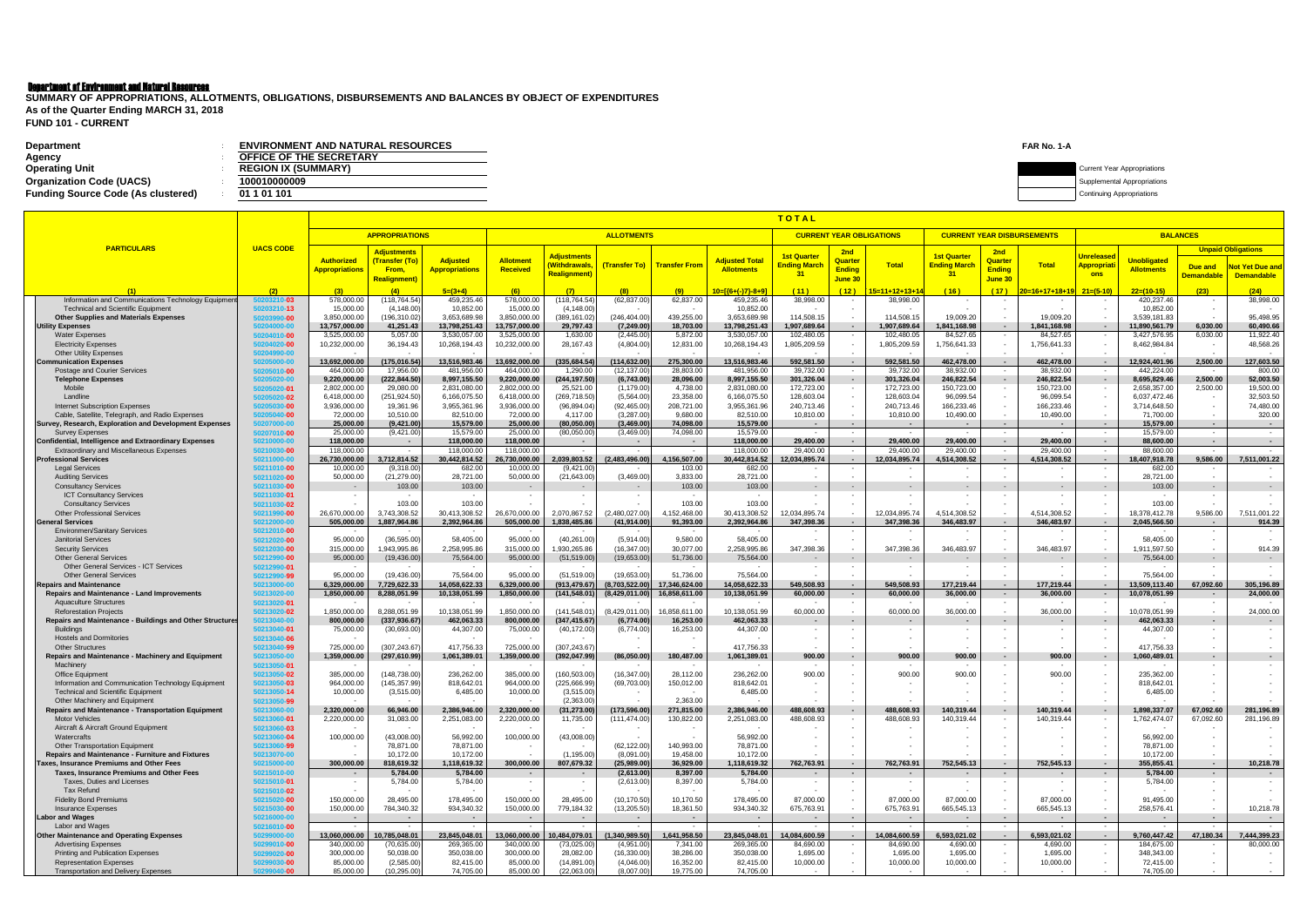# Department of Environment and Natural Resources

| <b>Department</b><br>Agency               | <b>ENVIRONMENT AND NATURAL RESOURCES</b><br><b>OFFICE OF THE SECRETARY</b> | FAR No. 1-A                        |
|-------------------------------------------|----------------------------------------------------------------------------|------------------------------------|
| <b>Operating Unit</b>                     | <b>REGION IX (SUMMARY)</b>                                                 | <b>Current Year Appropriations</b> |
| <b>Organization Code (UACS)</b>           | 00010000009                                                                | pplemental Appropriations          |
| <b>Funding Source Code (As clustered)</b> | 01 1 01 101                                                                | <b>Continuing Appropriations</b>   |

**FUND 101 - CURRENT SUMMARY OF APPROPRIATIONS, ALLOTMENTS, OBLIGATIONS, DISBURSEMENTS AND BALANCES BY OBJECT OF EXPENDITURES As of the Quarter Ending MARCH 31, 2018**

|                                                                                                 |                            |                             |                               |                             |                             |                            |                             |                             |                             | TOTAL                           |                                 |                            |                                   |                          |                               |                           |                            |                                    |                           |
|-------------------------------------------------------------------------------------------------|----------------------------|-----------------------------|-------------------------------|-----------------------------|-----------------------------|----------------------------|-----------------------------|-----------------------------|-----------------------------|---------------------------------|---------------------------------|----------------------------|-----------------------------------|--------------------------|-------------------------------|---------------------------|----------------------------|------------------------------------|---------------------------|
|                                                                                                 |                            |                             | <b>APPROPRIATIONS</b>         |                             | <b>ALLOTMENTS</b>           |                            |                             |                             |                             |                                 | <b>CURRENT YEAR OBLIGATIONS</b> |                            | <b>CURRENT YEAR DISBURSEMENTS</b> |                          |                               |                           | <b>BALANCES</b>            |                                    |                           |
| <b>PARTICULARS</b>                                                                              | <b>UACS CODE</b>           |                             |                               |                             |                             |                            |                             |                             |                             |                                 |                                 |                            |                                   |                          |                               |                           |                            |                                    | <b>Unpaid Obligations</b> |
|                                                                                                 |                            | <b>Authorized</b>           | Adjustments<br>(Transfer (To) | <b>Adjusted</b>             | <b>Allotment</b>            | <b>Adjustments</b>         |                             |                             | <b>Adjusted Total</b>       | <b>1st Quarter</b>              | 2nd<br>Quarter                  |                            | <b>1st Quarter</b>                | 2nd<br>Quarter           |                               | <b>Unreleased</b>         | <b>Unobligated</b>         |                                    |                           |
|                                                                                                 |                            | Appropriations              | From,                         | <b>Appropriations</b>       | Received                    | (Withdrawals,              |                             | (Transfer To) Transfer From | <b>Allotments</b>           | <mark>Ending Marcl</mark><br>31 | <b>Ending</b>                   | <b>Total</b>               | <b>Ending March</b>               | <b>Ending</b>            | <b>Total</b>                  | <mark>Appropriat</mark> i | <b>Allotments</b>          | Due and                            | <b>Not Yet Due and</b>    |
|                                                                                                 |                            |                             | <b>Realignment</b>            |                             |                             | Realignment                |                             |                             |                             |                                 | June 30                         |                            | 31                                | June 30                  |                               | ons                       |                            | <b>Demandable</b>                  | <b>Demandable</b>         |
|                                                                                                 | (2)                        | (3)                         | (4)                           | $5=(3+4)$                   | (6)                         | (7)                        | (8)                         | (9)                         | $10=[(6+(-)7)-8+9]$         | (11)                            | (12)                            | <u> 5=11+12+13+1</u>       | (16)                              | (17)                     | 20=16+17+18+19 <mark> </mark> | $21=(5-10)$               | $22=(10-15)$               | (23)                               | (24)                      |
| Information and Communications Technology Equipmen                                              | 203210-03                  | 578,000.0                   | (118, 764.54)                 | 459,235.46                  | 578,000.0                   | 118,764.54                 | (62, 837.00)                | 62,837.00                   | 459,235.46                  | 38,998.00                       |                                 | 38,998.00                  |                                   |                          |                               |                           | 420,237.46                 |                                    | 38,998.00                 |
| <b>Technical and Scientific Equipment</b><br><b>Other Supplies and Materials Expenses</b>       | 50203210-13                | 15,000.00<br>3,850,000.00   | (4, 148.00)<br>(196,310.02)   | 10,852.00<br>3,653,689.98   | 15,000.00<br>3,850,000.00   | (4, 148.00)<br>(389,161.02 | (246,404.00                 | 439,255.00                  | 10,852.00<br>3,653,689.98   | 114,508.15                      |                                 | 114,508.15                 | 19,009.20                         | $\sim$                   | 19,009.20                     |                           | 10,852.00<br>3,539,181.83  |                                    | 95,498.95                 |
| <b>Utility Expenses</b>                                                                         | 50203990-00<br>50204000-00 | 13,757,000.00               | 41,251.43                     | 13,798,251.43               | 13,757,000.00               | 29,797.43                  | (7,249.00)                  | 18,703.00                   | 13,798,251.43               | 1,907,689.64                    |                                 | 1,907,689.64               | 1,841,168.98                      |                          | 1,841,168.98                  |                           | 11,890,561.79              | 6.030.00                           | 60,490.66                 |
| <b>Water Expenses</b>                                                                           | 50204010-00                | 3,525,000.00                | 5,057.00                      | 3,530,057.00                | 3,525,000.00                | 1,630.00                   | (2, 445.00)                 | 5,872.00                    | 3,530,057.00                | 102,480.05                      |                                 | 102,480.05                 | 84,527.65                         |                          | 84,527.65                     |                           | 3,427,576.95               | 6,030.00                           | 11,922.40                 |
| <b>Electricity Expenses</b>                                                                     | 50204020-00                | 10,232,000.00               | 36,194.43                     | 10,268,194.43               | 10,232,000.00               | 28,167.43                  | (4,804.00)                  | 12,831.00                   | 10,268,194.43               | 1,805,209.59                    |                                 | 1,805,209.59               | 1,756,641.33                      |                          | 1,756,641.33                  |                           | 8,462,984.84               |                                    | 48,568.26                 |
| <b>Other Utility Expenses</b>                                                                   | 50204990-00<br>50205000-00 | 13,692,000.00               | (175,016.54                   | 13,516,983.46               | 13,692,000.00               | (335,684.54                | (114,632.00                 | 275,300.00                  | 13,516,983.46               | 592,581.50                      | $\sim$                          | 592,581.50                 | 462,478.00                        | $\sim$                   | 462,478.00                    | $\sim$                    | 12,924,401.96              | 2,500.00                           | 127,603.50                |
| <b>Communication Expenses</b><br>Postage and Courier Services                                   | 50205010-00                | 464,000.0                   | 17,956.00                     | 481,956.00                  | 464,000.00                  | 1,290.00                   | (12, 137.00)                | 28,803.00                   | 481,956.00                  | 39,732.00                       | $\sim$                          | 39,732.00                  | 38,932.00                         | $\sim$                   | 38,932.00                     | $\sim$                    | 442,224.00                 | $\sim$                             | 800.00                    |
| <b>Telephone Expenses</b>                                                                       | 50205020-00                | 9,220,000.00                | (222, 844.50)                 | 8,997,155.50                | 9,220,000.00                | (244, 197.50)              | (6,743.00)                  | 28,096.00                   | 8,997,155.50                | 301,326.04                      |                                 | 301,326.04                 | 246,822.54                        | $\sim$                   | 246,822.54                    |                           | 8,695,829.46               | 2,500.00                           | 52,003.50                 |
| Mobile                                                                                          | 50205020-01                | 2,802,000.00                | 29,080.00                     | 2,831,080.00                | 2,802,000.00                | 25,521.00                  | (1, 179.00)                 | 4,738.00                    | 2,831,080.00                | 172,723.00                      |                                 | 172,723.00                 | 150,723.00                        | $\sim$                   | 150,723.00                    |                           | 2,658,357.00               | 2,500.00                           | 19,500.00                 |
| Landline                                                                                        | 50205020-02                | 6,418,000.00                | (251, 924.50)                 | 6,166,075.50                | 6,418,000.00                | (269, 718.50)              | (5,564.00)                  | 23,358.00                   | 6,166,075.50                | 128,603.04                      |                                 | 128,603.04                 | 96,099.54                         |                          | 96,099.54                     |                           | 6,037,472.46               |                                    | 32,503.50                 |
| <b>Internet Subscription Expenses</b><br>Cable, Satellite, Telegraph, and Radio Expenses        | 50205030-00<br>50205040-00 | 3,936,000.00<br>72,000.00   | 19,361.96<br>10,510.00        | 3,955,361.96<br>82,510.00   | 3,936,000.00<br>72,000.00   | (96, 894.04)<br>4,117.00   | (92, 465.00)<br>(3, 287.00) | 208,721.00<br>9,680.00      | 3,955,361.96<br>82,510.00   | 240,713.46<br>10,810.00         |                                 | 240,713.46<br>10,810.00    | 166,233.46<br>10,490.00           | $\sim$                   | 166,233.46<br>10,490.00       | $\sim$                    | 3,714,648.50<br>71,700.00  |                                    | 74,480.00<br>320.00       |
| Survey, Research, Exploration and Development Expenses                                          | 50207000-00                | 25,000.00                   | (9,421.00)                    | 15,579.00                   | 25,000.00                   | (80, 050.00)               | (3,469.00)                  | 74,098.00                   | 15,579.00                   | $\sim$                          | $\sim$                          | $\sim$ $-$                 |                                   | $\sim$                   | $\sim$                        | $\sim$                    | 15,579.00                  | $\sim$                             | $\sim 100$                |
| <b>Survey Expenses</b>                                                                          | 50207010-00                | 25,000.00                   | (9,421.00)                    | 15,579.00                   | 25,000.00                   | (80,050.00)                | (3,469.00)                  | 74,098.00                   | 15,579.00                   | $\overline{\phantom{a}}$        | $\sim$ $-$                      | $\sim$                     |                                   | $\sim$                   |                               | $\sim$                    | 15,579.00                  | $\sim$                             | $\sim$                    |
| <b>Confidential, Intelligence and Extraordinary Expenses</b>                                    | 50210000-00                | 118,000.00                  |                               | 118,000.00                  | 118,000.00                  |                            | $\sim$                      | $\sim$                      | 118,000.00                  | 29,400.00                       | $\sim$                          | 29,400.00                  | 29,400.00                         | $\sim$                   | 29,400.00                     | $\sim$ $-$                | 88,600.00                  | $\sim$                             |                           |
| <b>Extraordinary and Miscellaneous Expenses</b><br><b>Professional Services</b>                 | 50210030-00<br>50211000-00 | 118,000.00<br>26,730,000.00 | 3,712,814.52                  | 118,000.00<br>30,442,814.52 | 118,000.00<br>26,730,000.00 | 2,039,803.52               | $\sim$<br>(2,483,496.00)    | $\sim$<br>4,156,507.00      | 118,000.00<br>30,442,814.52 | 29,400.00<br>12,034,895.74      | $\sim$<br>$\sim$                | 29,400.00<br>12,034,895.74 | 29.400.00<br>4,514,308.52         | $\sim$<br>$\sim$         | 29,400.00<br>4,514,308.52     | $\sim$<br>$\sim$ $-$      | 88.600.00<br>18,407,918.78 | $\sim$<br>9,586.00                 | 7,511,001.22              |
| <b>Legal Services</b>                                                                           | 50211010-00                | 10,000.00                   | (9,318.00)                    | 682.00                      | 10,000.00                   | (9,421.00)                 |                             | 103.00                      | 682.00                      |                                 |                                 |                            |                                   |                          |                               | $\sim$                    | 682.00                     |                                    |                           |
| <b>Auditing Services</b>                                                                        | 50211020-00                | 50,000.00                   | (21, 279.00)                  | 28,721.00                   | 50,000.00                   | (21, 643.00)               | (3,469.00)                  | 3,833.00                    | 28,721.00                   | $\overline{\phantom{a}}$        |                                 |                            |                                   | $\overline{\phantom{a}}$ |                               | $\sim$                    | 28,721.00                  |                                    |                           |
| <b>Consultancy Services</b>                                                                     | 50211030-00                | $\sim$                      | 103.00                        | 103.00                      |                             |                            | $\sim$                      | 103.00                      | 103.00                      | $\sim$                          |                                 |                            |                                   | $\sim$                   |                               | $\sim$                    | 103.00                     | $\sim$ $-$                         |                           |
| <b>ICT Consultancy Services</b><br><b>Consultancy Services</b>                                  | 50211030-01                | $\sim$                      | 103.00                        | 103.00                      |                             | $\sim$                     | $\sim$                      | 103.00                      | 103.00                      | $\overline{\phantom{a}}$        |                                 |                            |                                   |                          |                               | $\sim$                    | 103.00                     | $\overline{\phantom{a}}$           |                           |
| <b>Other Professional Services</b>                                                              | 50211030-02<br>50211990-00 | 26,670,000.00               | 3,743,308.52                  | 30,413,308.52               | 26,670,000.00               | 2,070,867.52               | (2,480,027.00)              | 4,152,468.00                | 30,413,308.52               | 12,034,895.74                   |                                 | 12,034,895.74              | 4,514,308.52                      |                          | 4,514,308.52                  |                           | 18,378,412.78              | 9,586.00                           | 7,511,001.22              |
| <b>General Services</b>                                                                         | 50212000-00                | 505,000.00                  | 1,887,964.86                  | 2,392,964.86                | 505,000.00                  | 1,838,485.86               | (41, 914.00)                | 91,393.00                   | 2,392,964.86                | 347,398.36                      |                                 | 347,398.36                 | 346,483.97                        | $\sim$                   | 346,483.97                    | $\sim$                    | 2,045,566.50               | $\sim$                             | 914.39                    |
| <b>Environmen/Sanitary Services</b>                                                             | 50212010-00                |                             |                               |                             |                             |                            |                             |                             |                             | $\overline{\phantom{a}}$        |                                 |                            |                                   | $\sim$                   |                               | $\sim$                    |                            |                                    |                           |
| <b>Janitorial Services</b>                                                                      | 50212020-00                | 95,000.00                   | (36,595.00)                   | 58,405.00                   | 95,000.00                   | (40, 261.00)               | (5,914.00)                  | 9,580.00                    | 58,405.00                   |                                 |                                 |                            |                                   |                          |                               | $\sim$                    | 58,405.00                  |                                    |                           |
| <b>Security Services</b><br><b>Other General Services</b>                                       | 50212030-00<br>50212990-00 | 315,000.00<br>95,000.00     | 1,943,995.86<br>(19, 436.00)  | 2,258,995.86<br>75,564.00   | 315,000.00<br>95,000.00     | 930,265.86<br>(51, 519.00) | (16, 347.00)<br>(19,653.00) | 30,077.00<br>51,736.00      | 2,258,995.86<br>75,564.00   | 347,398.36<br>$\sim$            | $\sim$                          | 347,398.36<br>$\sim$       | 346,483.97                        | $\sim$                   | 346,483.97                    | $\sim$<br>$\sim$          | 1,911,597.50<br>75,564.00  | $\overline{\phantom{a}}$<br>$\sim$ | 914.39                    |
| <b>Other General Services - ICT Services</b>                                                    | 50212990-01                |                             |                               |                             |                             |                            |                             |                             |                             |                                 |                                 |                            |                                   |                          |                               |                           |                            |                                    |                           |
| <b>Other General Services</b>                                                                   | 50212990-99                | 95,000.00                   | (19, 436.00)                  | 75,564.00                   | 95,000,00                   | (51,519.00)                | (19,653.00)                 | 51,736.00                   | 75,564.00                   |                                 |                                 |                            |                                   |                          |                               |                           | 75,564.00                  |                                    |                           |
| <b>Repairs and Maintenance</b>                                                                  | 50213000-00                | 6,329,000.00                | 7,729,622.33                  | 14,058,622.33               | 6,329,000.00                | (913, 479.67)              | (8,703,522.00)              | 17,346,624.00               | 14,058,622.33               | 549,508.93                      | $\sim$                          | 549,508.93                 | 177,219.44                        | $\sim$                   | 177,219.44                    | $\sim$                    | 13,509,113.40              | 67,092.60                          | 305,196.89                |
| Repairs and Maintenance - Land Improvements<br><b>Aquaculture Structures</b>                    | 50213020-00<br>50213020-01 | 1,850,000.00                | 8,288,051.99                  | 10,138,051.99               | 1,850,000.00                | (141, 548.01)              | (8,429,011.00)              | 16,858,611.00               | 10,138,051.99               | 60,000.00                       | $\overline{\phantom{a}}$        | 60,000.00                  | 36,000.00                         |                          | 36,000.00                     | $\sim$                    | 10,078,051.99              |                                    | 24,000.00                 |
| <b>Reforestation Projects</b>                                                                   | 50213020-02                | 1,850,000.00                | 8,288,051.99                  | 10,138,051.99               | 1,850,000.00                | (141, 548.01)              | (8,429,011.00)              | 16,858,611.00               | 10,138,051.99               | 60,000.00                       |                                 | 60,000.00                  | 36,000.00                         | $\sim$                   | 36,000.00                     |                           | 10,078,051.99              | $\overline{\phantom{a}}$           | 24,000.00                 |
| Repairs and Maintenance - Buildings and Other Structures                                        | 50213040-00                | 800,000.00                  | (337,936.67)                  | 462,063.33                  | 800,000.00                  | (347, 415.67)              | (6,774.00)                  | 16,253.00                   | 462,063.33                  |                                 | $\overline{\phantom{a}}$        | $\sim$                     |                                   | $\sim$                   | $\overline{\phantom{a}}$      | $\blacksquare$            | 462,063.33                 | $\sim$                             | $\sim$                    |
| <b>Buildings</b>                                                                                | 50213040-01                | 75,000.00                   | (30,693.00)                   | 44,307.00                   | 75,000.00                   | (40, 172.00)               | (6,774.00)                  | 16,253.00                   | 44,307.00                   |                                 |                                 |                            |                                   |                          |                               |                           | 44,307.00                  |                                    |                           |
| <b>Hostels and Dormitories</b><br><b>Other Structures</b>                                       | 50213040-06<br>50213040-99 | 725,000.00                  | (307, 243.67)                 | 417,756.33                  | 725,000.00                  | (307, 243.67)              |                             |                             | 417,756.33                  |                                 |                                 |                            |                                   |                          |                               |                           | 417,756.33                 | $\overline{\phantom{a}}$           | $\sim$                    |
| Repairs and Maintenance - Machinery and Equipment                                               | 50213050-00                | 1,359,000.00                | (297,610.99)                  | 1,061,389.01                | 1,359,000.00                | (392, 047.99)              | (86,050.00)                 | 180,487.00                  | 1,061,389.01                | 900.00                          | ٠                               | 900.00                     | 900.00                            | $\sim$                   | 900.00                        |                           | 1,060,489.01               | $\sim$                             |                           |
| Machinery                                                                                       | 50213050-01                |                             |                               |                             |                             |                            |                             |                             |                             |                                 |                                 |                            |                                   |                          |                               |                           |                            |                                    |                           |
| <b>Office Equipment</b>                                                                         | 50213050-02                | 385,000.00                  | (148, 738.00)                 | 236,262.00                  | 385,000.00                  | (160, 503.00)              | (16, 347.00)                | 28,112.00                   | 236,262.00                  | 900.00                          |                                 | 900.00                     | 900.00                            |                          | 900.00                        |                           | 235,362.00                 |                                    |                           |
| Information and Communication Technology Equipment<br><b>Technical and Scientific Equipment</b> | 50213050-03<br>50213050-14 | 964,000.00<br>10,000.00     | (145, 357.99)<br>(3,515.00)   | 818,642.01<br>6,485.00      | 964,000.00<br>10,000.00     | (225,666.99)<br>(3,515.00) | (69, 703.00)                | 150,012.00                  | 818,642.01<br>6,485.00      |                                 |                                 |                            |                                   |                          |                               |                           | 818,642.01<br>6,485.00     |                                    |                           |
| Other Machinery and Equipment                                                                   | 50213050-99                |                             |                               |                             |                             | (2,363.00)                 | $\overline{\phantom{a}}$    | 2,363.00                    |                             | $\sim$                          |                                 |                            |                                   |                          |                               |                           |                            |                                    |                           |
| <b>Repairs and Maintenance - Transportation Equipment</b>                                       | i0213060-00                | 2,320,000.00                | 66,946.00                     | 2,386,946.00                | 2,320,000.00                | (31,273.00)                | (173,596.00)                | 271,815.00                  | 2,386,946.00                | 488,608.93                      |                                 | 488,608.93                 | 140,319.44                        |                          | 140,319.44                    |                           | 1,898,337.07               | 67,092.60                          | 281,196.89                |
| <b>Motor Vehicles</b>                                                                           | 50213060-01                | 2,220,000.00                | 31,083.00                     | 2,251,083.00                | 2,220,000.00                | 11,735.00                  | (111, 474.00)               | 130,822.00                  | 2,251,083.00                | 488,608.93                      |                                 | 488,608.93                 | 140,319.44                        |                          | 140,319.44                    |                           | 1,762,474.07               | 67,092.60                          | 281,196.89                |
| Aircraft & Aircraft Ground Equipment                                                            | 50213060-03                | 100,000.00                  | (43,008.00)                   | 56,992.00                   | 100,000.00                  | (43,008.00)                | $\sim$                      |                             | 56,992.00                   |                                 |                                 |                            |                                   |                          |                               |                           | 56,992.00                  |                                    |                           |
| Watercrafts<br>Other Transportation Equipment                                                   | 50213060-04<br>50213060-99 |                             | 78,871.00                     | 78,871.00                   |                             |                            | (62, 122.00)                | 140,993.00                  | 78,871.00                   | $\sim$                          |                                 |                            |                                   |                          |                               |                           | 78,871.00                  |                                    |                           |
| Repairs and Maintenance - Furniture and Fixtures                                                | 50213070-00                |                             | 10,172.00                     | 10,172.00                   |                             | (1, 195.00)                | (8,091.00)                  | 19,458.00                   | 10,172.00                   |                                 |                                 |                            |                                   |                          |                               | $\sim$                    | 10,172.00                  |                                    |                           |
| Taxes, Insurance Premiums and Other Fees                                                        | 50215000-00                | 300,000.00                  | 818,619.32                    | 1,118,619.32                | 300,000.00                  | 807,679.32                 | (25,989.00)                 | 36,929.00                   | 1,118,619.32                | 762,763.91                      | $\sim$                          | 762,763.91                 | 752,545.13                        | $\sim$                   | 752,545.13                    | $\sim$                    | 355,855.41                 | $\sim$ $-$                         | 10,218.78                 |
| Taxes, Insurance Premiums and Other Fees                                                        | 50215010-00                | $\sim$                      | 5,784.00                      | 5,784.00                    |                             |                            | (2,613.00)                  | 8,397.00                    | 5,784.00                    | $\sim$                          | $\sim$                          |                            |                                   |                          |                               | $\sim$                    | 5,784.00                   | $\sim$                             | $\sim 100$                |
| Taxes. Duties and Licenses<br>Tax Refund                                                        | 50215010-01<br>50215010-02 | $\sim$                      | 5,784.00                      | 5,784.00                    |                             |                            | (2,613.00)                  | 8,397.00                    | 5,784.00                    | $\sim$                          |                                 |                            |                                   |                          |                               | $\overline{\phantom{a}}$  | 5,784.00                   |                                    |                           |
| <b>Fidelity Bond Premiums</b>                                                                   | 50215020-00                | 150,000.00                  | 28,495.00                     | 178,495.00                  | 150,000.00                  | 28,495.00                  | (10, 170.50)                | 10,170.50                   | 178,495.00                  | 87,000.00                       |                                 | 87,000.00                  | 87,000.00                         |                          | 87,000.00                     |                           | 91,495.00                  |                                    |                           |
| Insurance Expenses                                                                              | 50215030-00                | 150,000.00                  | 784,340.32                    | 934,340.32                  | 150,000.00                  | 779,184.32                 | (13, 205.50)                | 18,361.50                   | 934,340.32                  | 675,763.91                      |                                 | 675,763.91                 | 665,545.13                        | $\sim$                   | 665,545.13                    | $\sim$                    | 258,576.41                 | $\sim$                             | 10,218.78                 |
| <b>Labor and Wages</b>                                                                          | 50216000-00                | $\sim$ $-$                  | $\sim$ $-$                    | $\sim$ $-$                  |                             | $\sim$                     | $\sim$ $-$                  | $\sim$ $-$                  | $\sim$                      | $\sim$                          | $\sim$                          | $\sim$                     |                                   | $\sim$ $-$               |                               | $\sim$                    | $\sim$                     | $\sim$                             | $\sim 10^{-11}$           |
| Labor and Wages<br><b>Other Maintenance and Operating Expenses</b>                              | 50216010-00<br>50299000-00 | 13.060.000.00               | 10,785,048.01                 | $\sim$<br>23,845,048.01     | 13.060.000.00               | 10,484,079.01              | $\sim$<br>(1,340,989.50)    | 1,641,958.50                | 23,845,048.01               | 14.084.600.59                   | $\sim$<br>$\sim$                | 14,084,600.59              | 6,593,021.02                      | $\sim$ $-$<br>$\sim$ $-$ | 6.593.021.02                  | $\sim$<br>$\sim$ $-$      | 9,760,447.42               | 47.180.34                          | 7,444,399.23              |
| <b>Advertising Expenses</b>                                                                     | 50299010-00                | 340,000.00                  | (70, 635.00)                  | 269,365.00                  | 340,000.00                  | (73,025.00)                | (4,951.00)                  | 7,341.00                    | 269,365.00                  | 84,690.00                       |                                 | 84,690.00                  | 4,690.00                          |                          | 4,690.00                      |                           | 184,675.00                 |                                    | 80,000.00                 |
| Printing and Publication Expenses                                                               | 50299020-00                | 300,000.00                  | 50,038.00                     | 350,038.00                  | 300,000.00                  | 28,082.00                  | (16, 330.00)                | 38,286.00                   | 350,038.00                  | 1,695.00                        |                                 | 1,695.00                   | 1,695.00                          |                          | 1,695.00                      |                           | 348,343.00                 |                                    |                           |
| <b>Representation Expenses</b>                                                                  | 50299030-00                | 85,000.00                   | (2,585.00)                    | 82,415.00                   | 85,000.00                   | (14, 891.00)               | (4,046.00)                  | 16,352.00                   | 82,415.00                   | 10,000.00                       |                                 | 10,000.00                  | 10,000.00                         |                          | 10,000.00                     |                           | 72,415.00                  |                                    |                           |
| <b>Transportation and Delivery Expenses</b>                                                     | 50299040-00                | 85,000.00                   | (10, 295.00)                  | 74,705.00                   | 85,000.00                   | (22,063.00)                | (8,007.00)                  | 19,775.00                   | 74,705.00                   | $\sim$                          |                                 | $\sim$                     |                                   |                          |                               |                           | 74,705.00                  |                                    |                           |